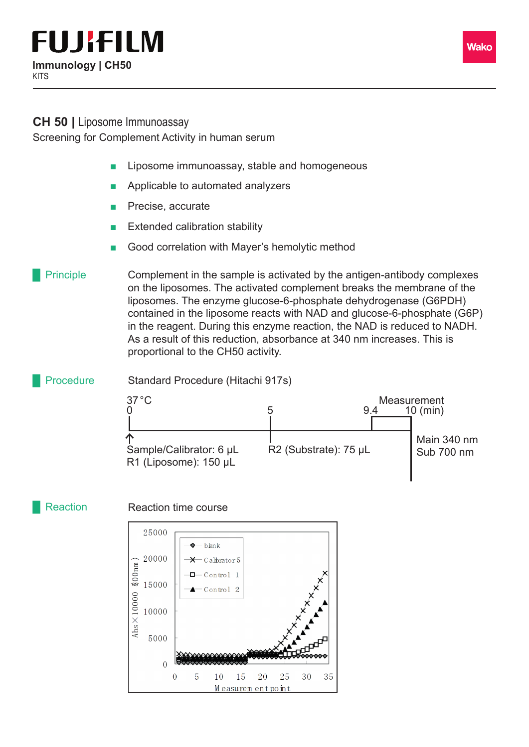## **FUJIFILM Immunology | CH50**

## **CH 50 |** Liposome Immunoassay

Screening for Complement Activity in human serum

- Liposome immunoassay, stable and homogeneous
- Applicable to automated analyzers
- Precise, accurate
- **Extended calibration stability**
- Good correlation with Mayer's hemolytic method

Complement in the sample is activated by the antigen-antibody complexes on the liposomes. The activated complement breaks the membrane of the liposomes. The enzyme glucose-6-phosphate dehydrogenase (G6PDH) contained in the liposome reacts with NAD and glucose-6-phosphate (G6P) in the reagent. During this enzyme reaction, the NAD is reduced to NADH. As a result of this reduction, absorbance at 340 nm increases. This is proportional to the CH50 activity. **Principle** 



## **Reaction**

Reaction time course



Wako